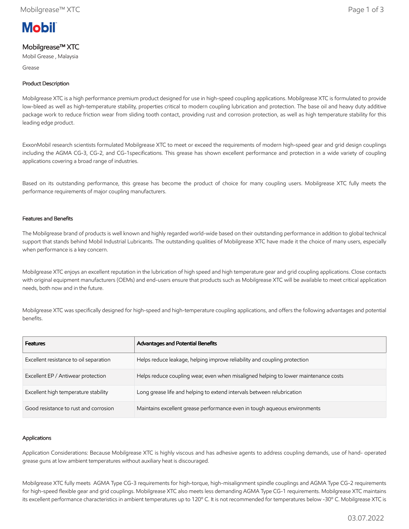

# Mobilgrease™ XTC

Mobil Grease , Malaysia

Grease

## Product Description

Mobilgrease XTC is a high performance premium product designed for use in high-speed coupling applications. Mobilgrease XTC is formulated to provide low-bleed as well as high-temperature stability, properties critical to modern coupling lubrication and protection. The base oil and heavy duty additive package work to reduce friction wear from sliding tooth contact, providing rust and corrosion protection, as well as high temperature stability for this leading edge product.

ExxonMobil research scientists formulated Mobilgrease XTC to meet or exceed the requirements of modern high-speed gear and grid design couplings including the AGMA CG-3, CG-2, and CG-1specifications. This grease has shown excellent performance and protection in a wide variety of coupling applications covering a broad range of industries.

Based on its outstanding performance, this grease has become the product of choice for many coupling users. Mobilgrease XTC fully meets the performance requirements of major coupling manufacturers.

### Features and Benefits

The Mobilgrease brand of products is well known and highly regarded world-wide based on their outstanding performance in addition to global technical support that stands behind Mobil Industrial Lubricants. The outstanding qualities of Mobilgrease XTC have made it the choice of many users, especially when performance is a key concern.

Mobilgrease XTC enjoys an excellent reputation in the lubrication of high speed and high temperature gear and grid coupling applications. Close contacts with original equipment manufacturers (OEMs) and end-users ensure that products such as Mobilgrease XTC will be available to meet critical application needs, both now and in the future.

Mobilgrease XTC was specifically designed for high-speed and high-temperature coupling applications, and offers the following advantages and potential benefits.

| <b>Features</b>                        | Advantages and Potential Benefits                                                   |
|----------------------------------------|-------------------------------------------------------------------------------------|
| Excellent resistance to oil separation | Helps reduce leakage, helping improve reliability and coupling protection           |
| Excellent EP / Antiwear protection     | Helps reduce coupling wear, even when misaligned helping to lower maintenance costs |
| Excellent high temperature stability   | Long grease life and helping to extend intervals between relubrication              |
| Good resistance to rust and corrosion  | Maintains excellent grease performance even in tough aqueous environments           |

#### Applications

Application Considerations: Because Mobilgrease XTC is highly viscous and has adhesive agents to address coupling demands, use of hand- operated grease guns at low ambient temperatures without auxiliary heat is discouraged.

Mobilgrease XTC fully meets AGMA Type CG-3 requirements for high-torque, high-misalignment spindle couplings and AGMA Type CG-2 requirements for high-speed flexible gear and grid couplings. Mobilgrease XTC also meets less demanding AGMA Type CG-1 requirements. Mobilgrease XTC maintains its excellent performance characteristics in ambient temperatures up to 120º C. It is not recommended for temperatures below -30º C. Mobilgrease XTC is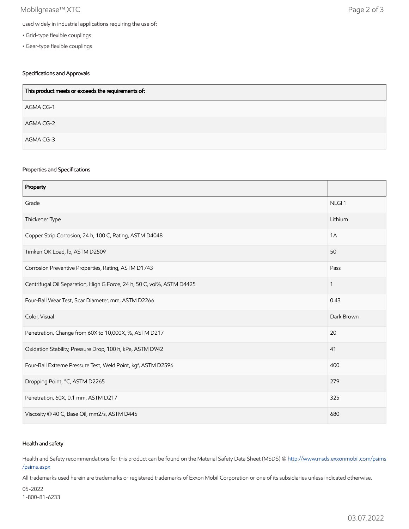## Mobilgrease™ XTC Page 2 of 3

- Grid-type flexible couplings
- Gear-type flexible couplings

## Specifications and Approvals

| This product meets or exceeds the requirements of: |  |
|----------------------------------------------------|--|
| AGMA CG-1                                          |  |
| AGMA CG-2                                          |  |
| AGMA CG-3                                          |  |

### Properties and Specifications

| Property                                                               |                   |
|------------------------------------------------------------------------|-------------------|
| Grade                                                                  | NLGI <sub>1</sub> |
| Thickener Type                                                         | Lithium           |
| Copper Strip Corrosion, 24 h, 100 C, Rating, ASTM D4048                | 1A                |
| Timken OK Load, lb, ASTM D2509                                         | 50                |
| Corrosion Preventive Properties, Rating, ASTM D1743                    | Pass              |
| Centrifugal Oil Separation, High G Force, 24 h, 50 C, vol%, ASTM D4425 | $\mathbf{1}$      |
| Four-Ball Wear Test, Scar Diameter, mm, ASTM D2266                     | 0.43              |
| Color, Visual                                                          | Dark Brown        |
| Penetration, Change from 60X to 10,000X, %, ASTM D217                  | 20                |
| Oxidation Stability, Pressure Drop, 100 h, kPa, ASTM D942              | 41                |
| Four-Ball Extreme Pressure Test, Weld Point, kgf, ASTM D2596           | 400               |
| Dropping Point, °C, ASTM D2265                                         | 279               |
| Penetration, 60X, 0.1 mm, ASTM D217                                    | 325               |
| Viscosity @ 40 C, Base Oil, mm2/s, ASTM D445                           | 680               |

### Health and safety

Health and Safety recommendations for this product can be found on the Material Safety Data Sheet (MSDS) @ [http://www.msds.exxonmobil.com/psims](http://www.msds.exxonmobil.com/psims/psims.aspx) /psims.aspx

All trademarks used herein are trademarks or registered trademarks of Exxon Mobil Corporation or one of its subsidiaries unless indicated otherwise.

05-2022 1-800-81-6233